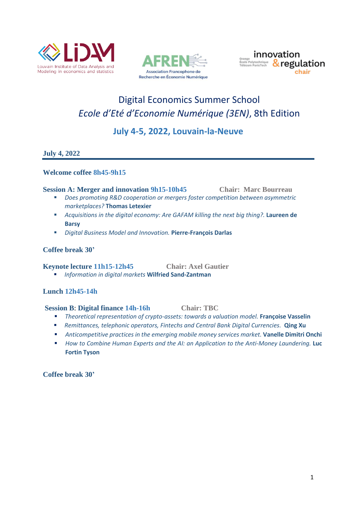





# Digital Economics Summer School *Ecole d'Eté d'Economie Numérique (3EN)*, 8th Edition

# **July 4-5, 2022, Louvain-la-Neuve**

# **July 4, 2022**

#### **Welcome coffee 8h45-9h15**

#### **Session A: Merger and innovation 9h15-10h45 Chair: Marc Bourreau**

- *Does promoting R&D cooperation or mergers foster competition between asymmetric marketplaces?* **Thomas Letexier**
- *Acquisitions in the digital economy: Are GAFAM killing the next big thing?*. **Laureen de Barsy**
- *Digital Business Model and Innovation.* **Pierre-François Darlas**

#### **Coffee break 30'**

#### **Keynote lecture 11h15-12h45 Chair: Axel Gautier**

▪ *Information in digital markets* **Wilfried Sand-Zantman**

# **Lunch 12h45-14h**

#### **Session B**: **Digital finance 14h-16h Chair: TBC**

- *Theoretical representation of crypto-assets: towards a valuation model.* **Françoise Vasselin**
- *Remittances, telephonic operators, Fintechs and Central Bank Digital Currencies.* **Qing Xu**
- *Anticompetitive practices in the emerging mobile money services market.* **Vanelle Dimitri Onchi**
- *How to Combine Human Experts and the AI: an Application to the Anti-Money Laundering.* **Luc Fortin Tyson**

**Coffee break 30'**